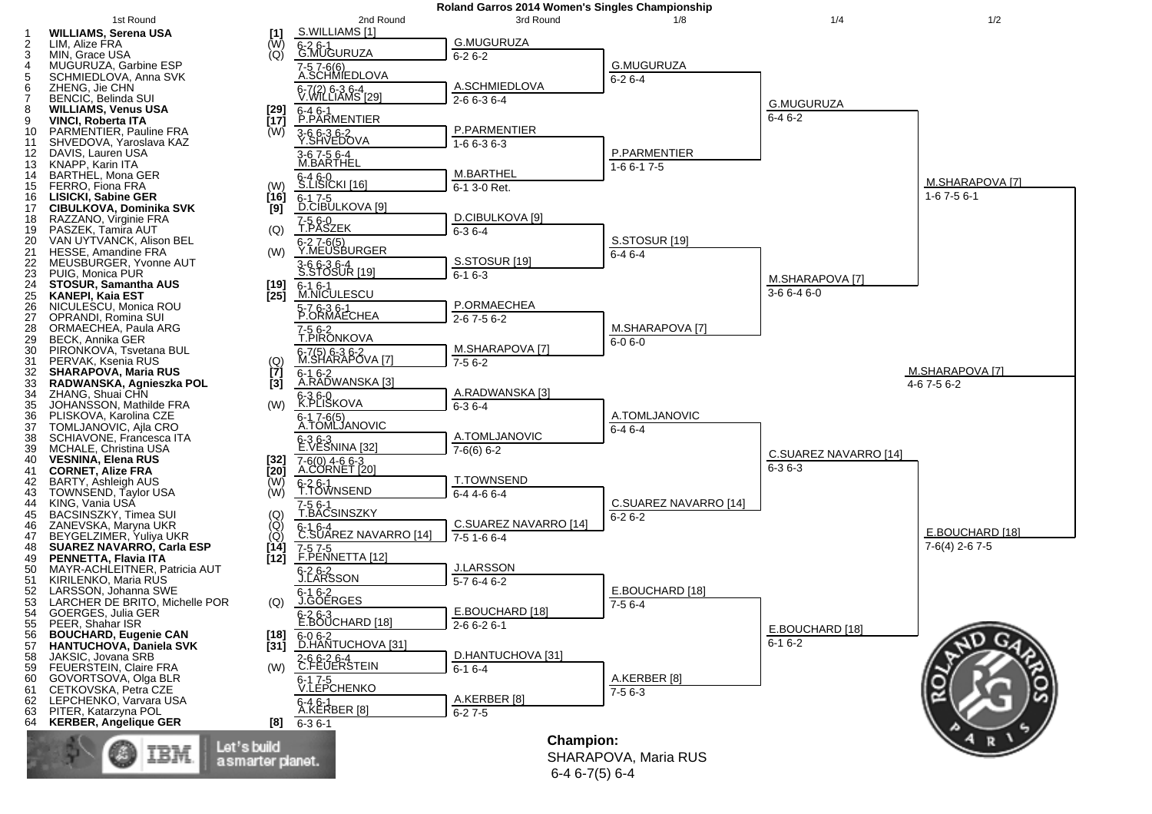